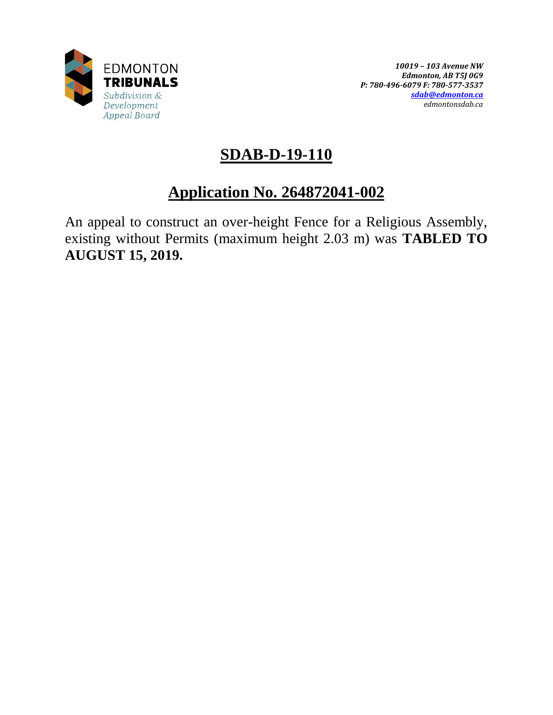

# **SDAB-D-19-110**

# **Application No. 264872041-002**

An appeal to construct an over-height Fence for a Religious Assembly, existing without Permits (maximum height 2.03 m) was **TABLED TO AUGUST 15, 2019.**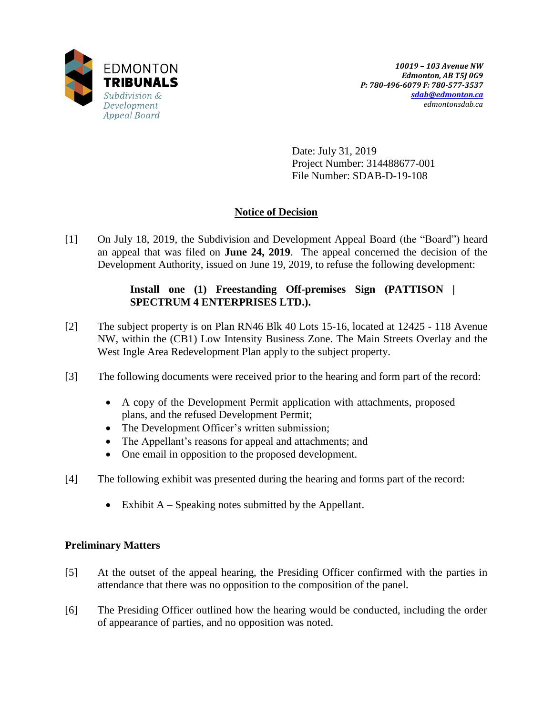

Date: July 31, 2019 Project Number: 314488677-001 File Number: SDAB-D-19-108

## **Notice of Decision**

[1] On July 18, 2019, the Subdivision and Development Appeal Board (the "Board") heard an appeal that was filed on **June 24, 2019**. The appeal concerned the decision of the Development Authority, issued on June 19, 2019, to refuse the following development:

## **Install one (1) Freestanding Off-premises Sign (PATTISON | SPECTRUM 4 ENTERPRISES LTD.).**

- [2] The subject property is on Plan RN46 Blk 40 Lots 15-16, located at 12425 118 Avenue NW, within the (CB1) Low Intensity Business Zone. The Main Streets Overlay and the West Ingle Area Redevelopment Plan apply to the subject property.
- [3] The following documents were received prior to the hearing and form part of the record:
	- A copy of the Development Permit application with attachments, proposed plans, and the refused Development Permit;
	- The Development Officer's written submission;
	- The Appellant's reasons for appeal and attachments; and
	- One email in opposition to the proposed development.
- [4] The following exhibit was presented during the hearing and forms part of the record:
	- Exhibit  $A Spesaking$  notes submitted by the Appellant.

## **Preliminary Matters**

- [5] At the outset of the appeal hearing, the Presiding Officer confirmed with the parties in attendance that there was no opposition to the composition of the panel.
- [6] The Presiding Officer outlined how the hearing would be conducted, including the order of appearance of parties, and no opposition was noted.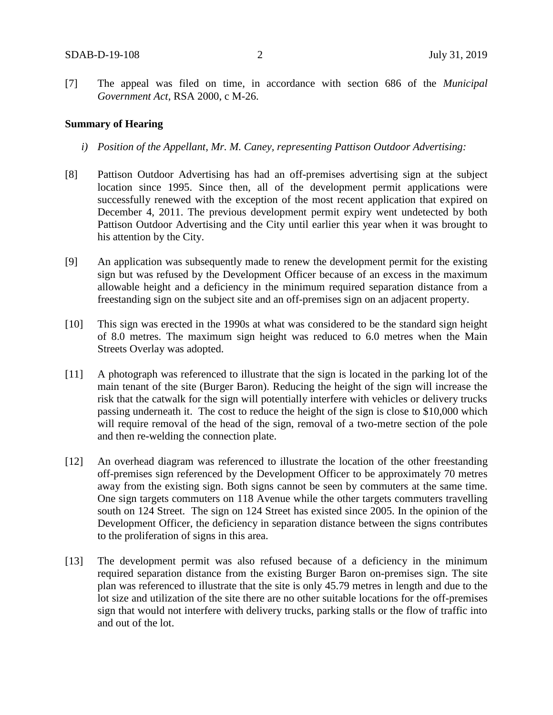[7] The appeal was filed on time, in accordance with section 686 of the *Municipal Government Act*, RSA 2000, c M-26.

#### **Summary of Hearing**

- *i) Position of the Appellant, Mr. M. Caney, representing Pattison Outdoor Advertising:*
- [8] Pattison Outdoor Advertising has had an off-premises advertising sign at the subject location since 1995. Since then, all of the development permit applications were successfully renewed with the exception of the most recent application that expired on December 4, 2011. The previous development permit expiry went undetected by both Pattison Outdoor Advertising and the City until earlier this year when it was brought to his attention by the City.
- [9] An application was subsequently made to renew the development permit for the existing sign but was refused by the Development Officer because of an excess in the maximum allowable height and a deficiency in the minimum required separation distance from a freestanding sign on the subject site and an off-premises sign on an adjacent property.
- [10] This sign was erected in the 1990s at what was considered to be the standard sign height of 8.0 metres. The maximum sign height was reduced to 6.0 metres when the Main Streets Overlay was adopted.
- [11] A photograph was referenced to illustrate that the sign is located in the parking lot of the main tenant of the site (Burger Baron). Reducing the height of the sign will increase the risk that the catwalk for the sign will potentially interfere with vehicles or delivery trucks passing underneath it. The cost to reduce the height of the sign is close to \$10,000 which will require removal of the head of the sign, removal of a two-metre section of the pole and then re-welding the connection plate.
- [12] An overhead diagram was referenced to illustrate the location of the other freestanding off-premises sign referenced by the Development Officer to be approximately 70 metres away from the existing sign. Both signs cannot be seen by commuters at the same time. One sign targets commuters on 118 Avenue while the other targets commuters travelling south on 124 Street. The sign on 124 Street has existed since 2005. In the opinion of the Development Officer, the deficiency in separation distance between the signs contributes to the proliferation of signs in this area.
- [13] The development permit was also refused because of a deficiency in the minimum required separation distance from the existing Burger Baron on-premises sign. The site plan was referenced to illustrate that the site is only 45.79 metres in length and due to the lot size and utilization of the site there are no other suitable locations for the off-premises sign that would not interfere with delivery trucks, parking stalls or the flow of traffic into and out of the lot.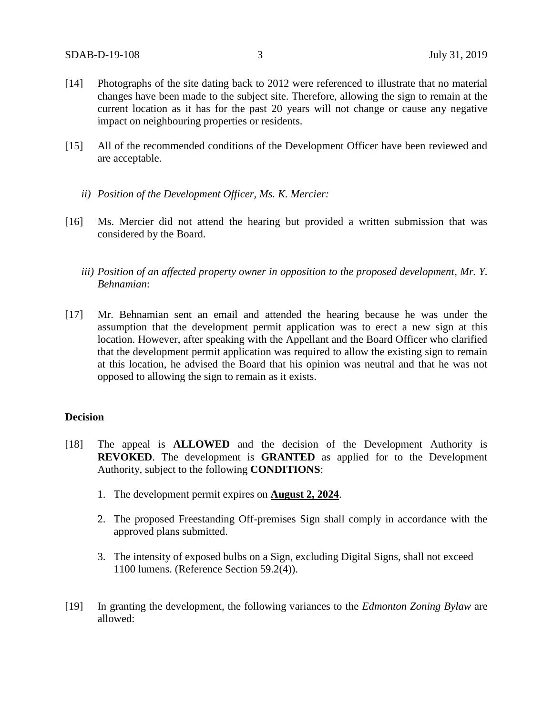- [14] Photographs of the site dating back to 2012 were referenced to illustrate that no material changes have been made to the subject site. Therefore, allowing the sign to remain at the current location as it has for the past 20 years will not change or cause any negative impact on neighbouring properties or residents.
- [15] All of the recommended conditions of the Development Officer have been reviewed and are acceptable.
	- *ii) Position of the Development Officer, Ms. K. Mercier:*
- [16] Ms. Mercier did not attend the hearing but provided a written submission that was considered by the Board.
	- *iii*) Position of an affected property owner in opposition to the proposed development, Mr. Y. *Behnamian*:
- [17] Mr. Behnamian sent an email and attended the hearing because he was under the assumption that the development permit application was to erect a new sign at this location. However, after speaking with the Appellant and the Board Officer who clarified that the development permit application was required to allow the existing sign to remain at this location, he advised the Board that his opinion was neutral and that he was not opposed to allowing the sign to remain as it exists.

### **Decision**

- [18] The appeal is **ALLOWED** and the decision of the Development Authority is **REVOKED**. The development is **GRANTED** as applied for to the Development Authority, subject to the following **CONDITIONS**:
	- 1. The development permit expires on **August 2, 2024**.
	- 2. The proposed Freestanding Off-premises Sign shall comply in accordance with the approved plans submitted.
	- 3. The intensity of exposed bulbs on a Sign, excluding Digital Signs, shall not exceed 1100 lumens. (Reference Section 59.2(4)).
- [19] In granting the development, the following variances to the *Edmonton Zoning Bylaw* are allowed: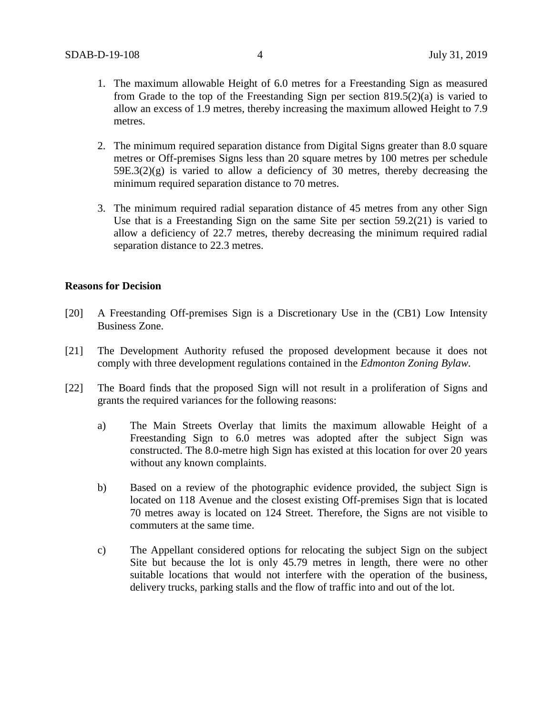- 1. The maximum allowable Height of 6.0 metres for a Freestanding Sign as measured from Grade to the top of the Freestanding Sign per section 819.5(2)(a) is varied to allow an excess of 1.9 metres, thereby increasing the maximum allowed Height to 7.9 metres.
- 2. The minimum required separation distance from Digital Signs greater than 8.0 square metres or Off-premises Signs less than 20 square metres by 100 metres per schedule  $59E.3(2)(g)$  is varied to allow a deficiency of 30 metres, thereby decreasing the minimum required separation distance to 70 metres.
- 3. The minimum required radial separation distance of 45 metres from any other Sign Use that is a Freestanding Sign on the same Site per section 59.2(21) is varied to allow a deficiency of 22.7 metres, thereby decreasing the minimum required radial separation distance to 22.3 metres.

#### **Reasons for Decision**

- [20] A Freestanding Off-premises Sign is a Discretionary Use in the (CB1) Low Intensity Business Zone.
- [21] The Development Authority refused the proposed development because it does not comply with three development regulations contained in the *Edmonton Zoning Bylaw.*
- [22] The Board finds that the proposed Sign will not result in a proliferation of Signs and grants the required variances for the following reasons:
	- a) The Main Streets Overlay that limits the maximum allowable Height of a Freestanding Sign to 6.0 metres was adopted after the subject Sign was constructed. The 8.0-metre high Sign has existed at this location for over 20 years without any known complaints.
	- b) Based on a review of the photographic evidence provided, the subject Sign is located on 118 Avenue and the closest existing Off-premises Sign that is located 70 metres away is located on 124 Street. Therefore, the Signs are not visible to commuters at the same time.
	- c) The Appellant considered options for relocating the subject Sign on the subject Site but because the lot is only 45.79 metres in length, there were no other suitable locations that would not interfere with the operation of the business, delivery trucks, parking stalls and the flow of traffic into and out of the lot.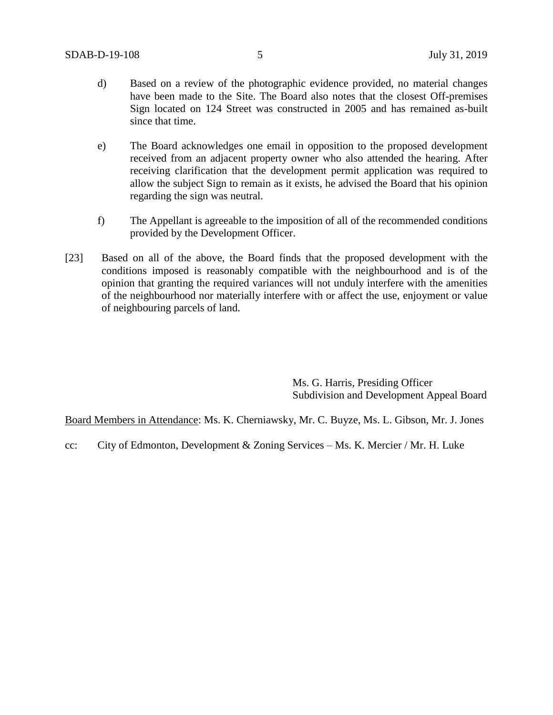- d) Based on a review of the photographic evidence provided, no material changes have been made to the Site. The Board also notes that the closest Off-premises Sign located on 124 Street was constructed in 2005 and has remained as-built since that time.
- e) The Board acknowledges one email in opposition to the proposed development received from an adjacent property owner who also attended the hearing. After receiving clarification that the development permit application was required to allow the subject Sign to remain as it exists, he advised the Board that his opinion regarding the sign was neutral.
- f) The Appellant is agreeable to the imposition of all of the recommended conditions provided by the Development Officer.
- [23] Based on all of the above, the Board finds that the proposed development with the conditions imposed is reasonably compatible with the neighbourhood and is of the opinion that granting the required variances will not unduly interfere with the amenities of the neighbourhood nor materially interfere with or affect the use, enjoyment or value of neighbouring parcels of land.

Ms. G. Harris, Presiding Officer Subdivision and Development Appeal Board

Board Members in Attendance: Ms. K. Cherniawsky, Mr. C. Buyze, Ms. L. Gibson, Mr. J. Jones

cc: City of Edmonton, Development & Zoning Services – Ms. K. Mercier / Mr. H. Luke